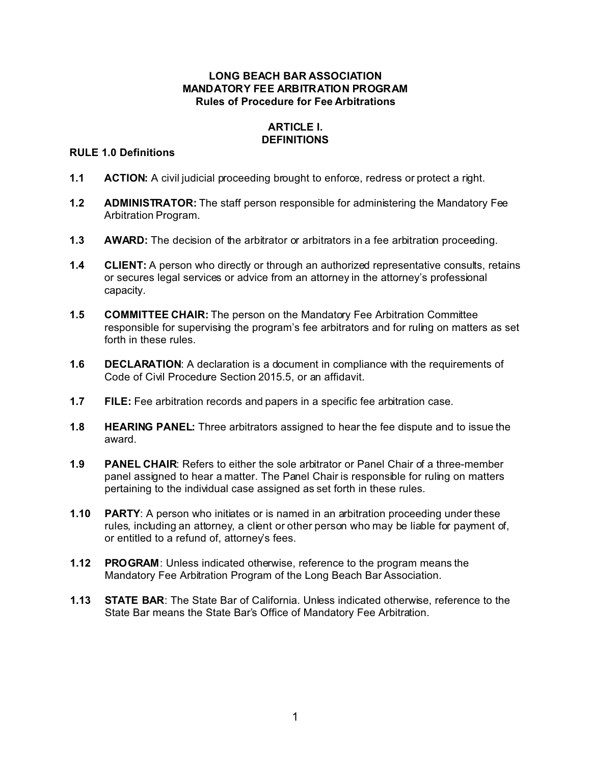## **LONG BEACH BAR ASSOCIATION MANDATORY FEE ARBITRATION PROGRAM Rules of Procedure for Fee Arbitrations**

# **ARTICLE I. DEFINITIONS**

## **RULE 1.0 Definitions**

- **1.1 ACTION:** A civil judicial proceeding brought to enforce, redress or protect a right.
- **1.2 ADMINISTRATOR:** The staff person responsible for administering the Mandatory Fee Arbitration Program.
- **1.3** AWARD: The decision of the arbitrator or arbitrators in a fee arbitration proceeding.
- **1.4 CLIENT:** A person who directly or through an authorized representative consults, retains or secures legal services or advice from an attorney in the attorney's professional capacity.
- **1.5 COMMITTEE CHAIR:** The person on the Mandatory Fee Arbitration Committee responsible for supervising the program's fee arbitrators and for ruling on matters as set forth in these rules.
- **1.6 DECLARATION**: A declaration is a document in compliance with the requirements of Code of Civil Procedure Section 2015.5, or an affidavit.
- **1.7 FILE:** Fee arbitration records and papers in a specific fee arbitration case.
- **1.8 HEARING PANEL:** Three arbitrators assigned to hear the fee dispute and to issue the award.
- **1.9 PANEL CHAIR**: Refers to either the sole arbitrator or Panel Chair of a three-member panel assigned to hear a matter. The Panel Chair is responsible for ruling on matters pertaining to the individual case assigned as set forth in these rules.
- **1.10 PARTY**: A person who initiates or is named in an arbitration proceeding under these rules, including an attorney, a client or other person who may be liable for payment of, or entitled to a refund of, attorney's fees.
- **1.12 PROGRAM**: Unless indicated otherwise, reference to the program means the Mandatory Fee Arbitration Program of the Long Beach Bar Association.
- **1.13 STATE BAR**: The State Bar of California. Unless indicated otherwise, reference to the State Bar means the State Bar's Office of Mandatory Fee Arbitration.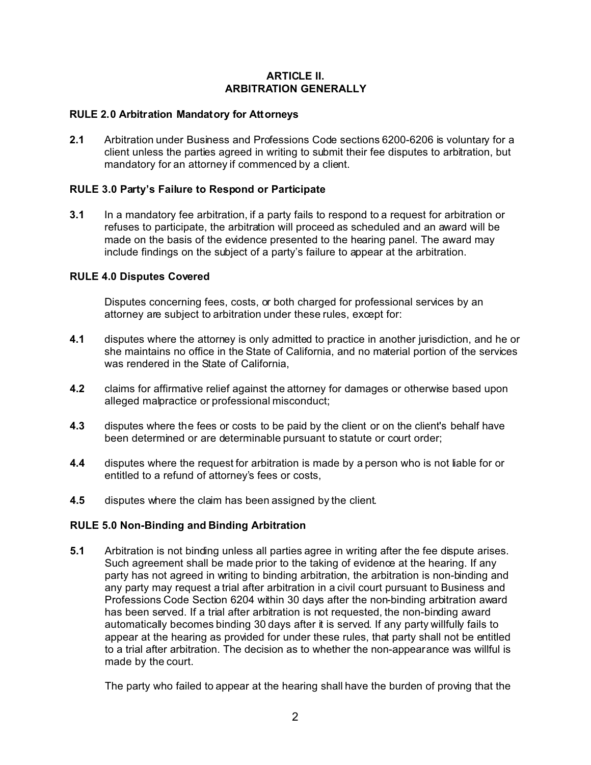# **ARTICLE II. ARBITRATION GENERALLY**

# **RULE 2.0 Arbitration Mandatory for Attorneys**

**2.1** Arbitration under Business and Professions Code sections 6200-6206 is voluntary for a client unless the parties agreed in writing to submit their fee disputes to arbitration, but mandatory for an attorney if commenced by a client.

## **RULE 3.0 Party's Failure to Respond or Participate**

**3.1** In a mandatory fee arbitration, if a party fails to respond to a request for arbitration or refuses to participate, the arbitration will proceed as scheduled and an award will be made on the basis of the evidence presented to the hearing panel. The award may include findings on the subject of a party's failure to appear at the arbitration.

## **RULE 4.0 Disputes Covered**

Disputes concerning fees, costs, or both charged for professional services by an attorney are subject to arbitration under these rules, except for:

- **4.1** disputes where the attorney is only admitted to practice in another jurisdiction, and he or she maintains no office in the State of California, and no material portion of the services was rendered in the State of California,
- **4.2** claims for affirmative relief against the attorney for damages or otherwise based upon alleged malpractice or professional misconduct;
- **4.3** disputes where the fees or costs to be paid by the client or on the client's behalf have been determined or are determinable pursuant to statute or court order;
- **4.4** disputes where the request for arbitration is made by a person who is not liable for or entitled to a refund of attorney's fees or costs,
- **4.5** disputes where the claim has been assigned by the client.

#### **RULE 5.0 Non-Binding and Binding Arbitration**

**5.1** Arbitration is not binding unless all parties agree in writing after the fee dispute arises. Such agreement shall be made prior to the taking of evidence at the hearing. If any party has not agreed in writing to binding arbitration, the arbitration is non-binding and any party may request a trial after arbitration in a civil court pursuant to Business and Professions Code Section 6204 within 30 days after the non-binding arbitration award has been served. If a trial after arbitration is not requested, the non-binding award automatically becomes binding 30 days after it is served. If any party willfully fails to appear at the hearing as provided for under these rules, that party shall not be entitled to a trial after arbitration. The decision as to whether the non-appearance was willful is made by the court.

The party who failed to appear at the hearing shall have the burden of proving that the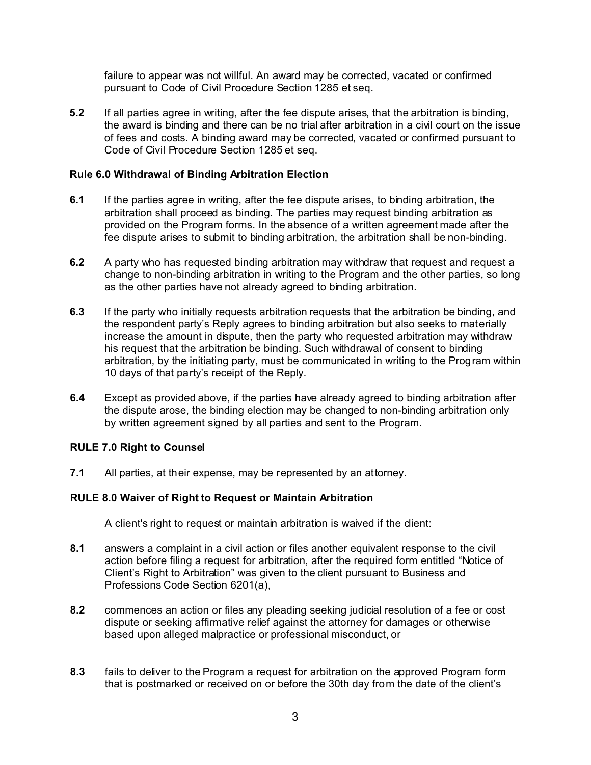failure to appear was not willful. An award may be corrected, vacated or confirmed pursuant to Code of Civil Procedure Section 1285 et seq.

**5.2** If all parties agree in writing, after the fee dispute arises**,** that the arbitration is binding, the award is binding and there can be no trial after arbitration in a civil court on the issue of fees and costs. A binding award may be corrected, vacated or confirmed pursuant to Code of Civil Procedure Section 1285 et seq.

## **Rule 6.0 Withdrawal of Binding Arbitration Election**

- **6.1** If the parties agree in writing, after the fee dispute arises, to binding arbitration, the arbitration shall proceed as binding. The parties may request binding arbitration as provided on the Program forms. In the absence of a written agreement made after the fee dispute arises to submit to binding arbitration, the arbitration shall be non-binding.
- **6.2** A party who has requested binding arbitration may withdraw that request and request a change to non-binding arbitration in writing to the Program and the other parties, so long as the other parties have not already agreed to binding arbitration.
- **6.3** If the party who initially requests arbitration requests that the arbitration be binding, and the respondent party's Reply agrees to binding arbitration but also seeks to materially increase the amount in dispute, then the party who requested arbitration may withdraw his request that the arbitration be binding. Such withdrawal of consent to binding arbitration, by the initiating party, must be communicated in writing to the Program within 10 days of that party's receipt of the Reply.
- **6.4** Except as provided above, if the parties have already agreed to binding arbitration after the dispute arose, the binding election may be changed to non-binding arbitration only by written agreement signed by all parties and sent to the Program.

#### **RULE 7.0 Right to Counsel**

**7.1** All parties, at their expense, may be represented by an attorney.

#### **RULE 8.0 Waiver of Right to Request or Maintain Arbitration**

A client's right to request or maintain arbitration is waived if the client:

- **8.1** answers a complaint in a civil action or files another equivalent response to the civil action before filing a request for arbitration, after the required form entitled "Notice of Client's Right to Arbitration" was given to the client pursuant to Business and Professions Code Section 6201(a),
- **8.2** commences an action or files any pleading seeking judicial resolution of a fee or cost dispute or seeking affirmative relief against the attorney for damages or otherwise based upon alleged malpractice or professional misconduct, or
- **8.3** fails to deliver to the Program a request for arbitration on the approved Program form that is postmarked or received on or before the 30th day from the date of the client's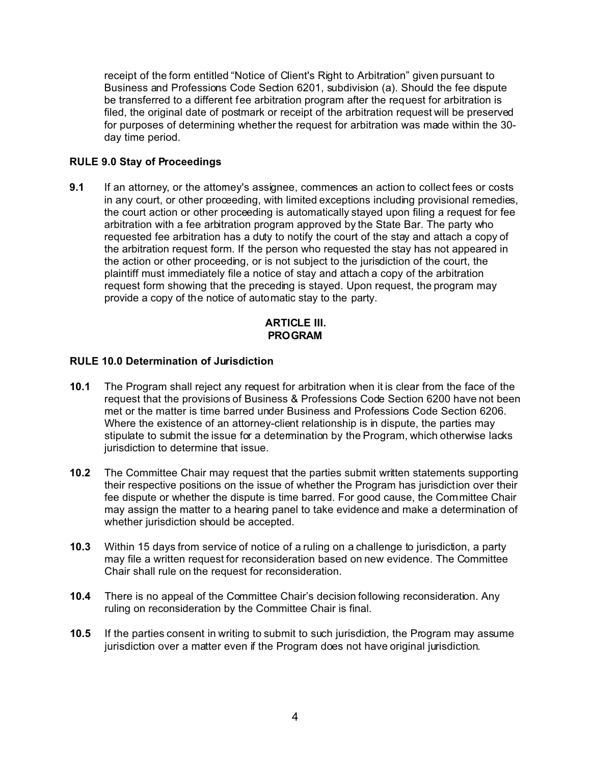receipt of the form entitled "Notice of Client's Right to Arbitration" given pursuant to Business and Professions Code Section 6201, subdivision (a). Should the fee dispute be transferred to a different fee arbitration program after the request for arbitration is filed, the original date of postmark or receipt of the arbitration request will be preserved for purposes of determining whether the request for arbitration was made within the 30 day time period.

# **RULE 9.0 Stay of Proceedings**

**9.1** If an attorney, or the attorney's assignee, commences an action to collect fees or costs in any court, or other proceeding, with limited exceptions including provisional remedies, the court action or other proceeding is automatically stayed upon filing a request for fee arbitration with a fee arbitration program approved by the State Bar. The party who requested fee arbitration has a duty to notify the court of the stay and attach a copy of the arbitration request form. If the person who requested the stay has not appeared in the action or other proceeding, or is not subject to the jurisdiction of the court, the plaintiff must immediately file a notice of stay and attach a copy of the arbitration request form showing that the preceding is stayed. Upon request, the program may provide a copy of the notice of automatic stay to the party.

## **ARTICLE III. PROGRAM**

# **RULE 10.0 Determination of Jurisdiction**

- **10.1** The Program shall reject any request for arbitration when it is clear from the face of the request that the provisions of Business & Professions Code Section 6200 have not been met or the matter is time barred under Business and Professions Code Section 6206. Where the existence of an attorney-client relationship is in dispute, the parties may stipulate to submit the issue for a determination by the Program, which otherwise lacks jurisdiction to determine that issue.
- **10.2** The Committee Chair may request that the parties submit written statements supporting their respective positions on the issue of whether the Program has jurisdiction over their fee dispute or whether the dispute is time barred. For good cause, the Committee Chair may assign the matter to a hearing panel to take evidence and make a determination of whether jurisdiction should be accepted.
- **10.3** Within 15 days from service of notice of a ruling on a challenge to jurisdiction, a party may file a written request for reconsideration based on new evidence. The Committee Chair shall rule on the request for reconsideration.
- **10.4** There is no appeal of the Committee Chair's decision following reconsideration. Any ruling on reconsideration by the Committee Chair is final.
- **10.5** If the parties consent in writing to submit to such jurisdiction, the Program may assume jurisdiction over a matter even if the Program does not have original jurisdiction.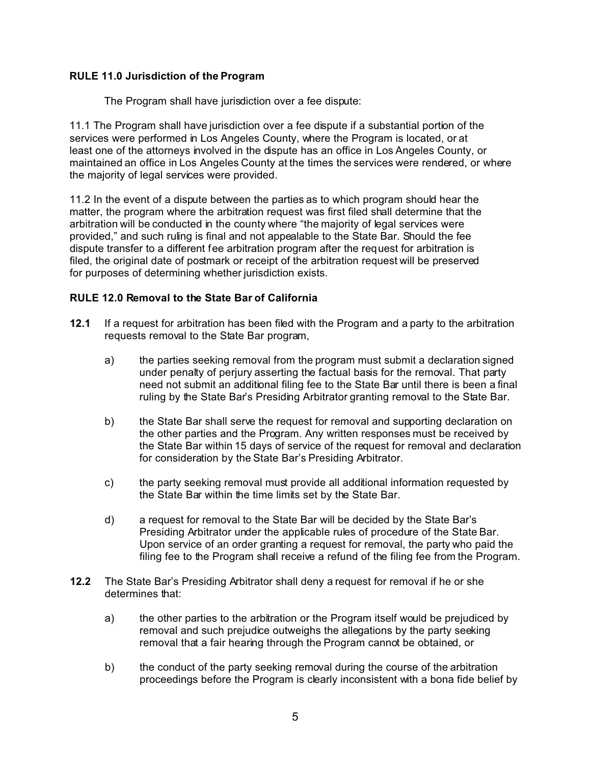# **RULE 11.0 Jurisdiction of the Program**

The Program shall have jurisdiction over a fee dispute:

11.1 The Program shall have jurisdiction over a fee dispute if a substantial portion of the services were performed in Los Angeles County, where the Program is located, or at least one of the attorneys involved in the dispute has an office in Los Angeles County, or maintained an office in Los Angeles County at the times the services were rendered, or where the majority of legal services were provided.

11.2 In the event of a dispute between the parties as to which program should hear the matter, the program where the arbitration request was first filed shall determine that the arbitration will be conducted in the county where "the majority of legal services were provided," and such ruling is final and not appealable to the State Bar. Should the fee dispute transfer to a different fee arbitration program after the request for arbitration is filed, the original date of postmark or receipt of the arbitration request will be preserved for purposes of determining whether jurisdiction exists.

# **RULE 12.0 Removal to the State Bar of California**

- **12.1** If a request for arbitration has been filed with the Program and a party to the arbitration requests removal to the State Bar program,
	- a) the parties seeking removal from the program must submit a declaration signed under penalty of perjury asserting the factual basis for the removal. That party need not submit an additional filing fee to the State Bar until there is been a final ruling by the State Bar's Presiding Arbitrator granting removal to the State Bar.
	- b) the State Bar shall serve the request for removal and supporting declaration on the other parties and the Program. Any written responses must be received by the State Bar within 15 days of service of the request for removal and declaration for consideration by the State Bar's Presiding Arbitrator.
	- c) the party seeking removal must provide all additional information requested by the State Bar within the time limits set by the State Bar.
	- d) a request for removal to the State Bar will be decided by the State Bar's Presiding Arbitrator under the applicable rules of procedure of the State Bar. Upon service of an order granting a request for removal, the party who paid the filing fee to the Program shall receive a refund of the filing fee from the Program.
- **12.2** The State Bar's Presiding Arbitrator shall deny a request for removal if he or she determines that:
	- a) the other parties to the arbitration or the Program itself would be prejudiced by removal and such prejudice outweighs the allegations by the party seeking removal that a fair hearing through the Program cannot be obtained, or
	- b) the conduct of the party seeking removal during the course of the arbitration proceedings before the Program is clearly inconsistent with a bona fide belief by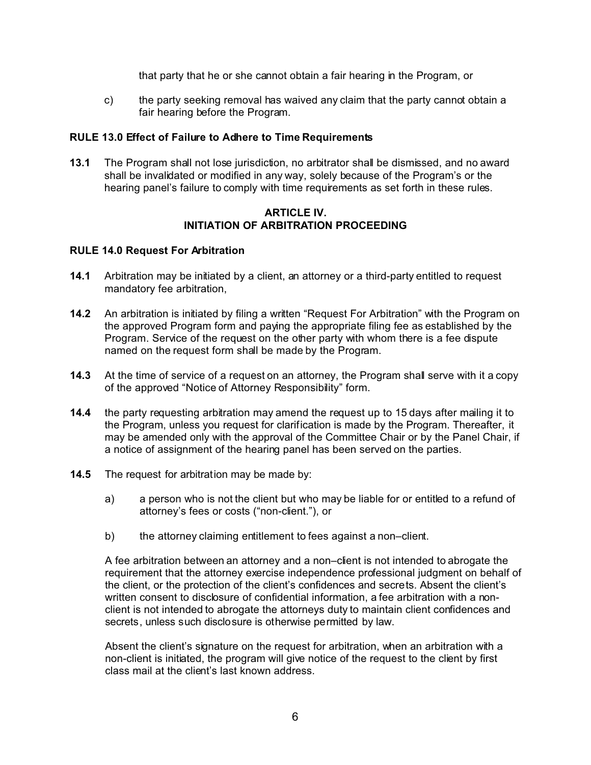that party that he or she cannot obtain a fair hearing in the Program, or

c) the party seeking removal has waived any claim that the party cannot obtain a fair hearing before the Program.

# **RULE 13.0 Effect of Failure to Adhere to Time Requirements**

**13.1** The Program shall not lose jurisdiction, no arbitrator shall be dismissed, and no award shall be invalidated or modified in any way, solely because of the Program's or the hearing panel's failure to comply with time requirements as set forth in these rules.

### **ARTICLE IV. INITIATION OF ARBITRATION PROCEEDING**

#### **RULE 14.0 Request For Arbitration**

- **14.1** Arbitration may be initiated by a client, an attorney or a third-party entitled to request mandatory fee arbitration,
- **14.2** An arbitration is initiated by filing a written "Request For Arbitration" with the Program on the approved Program form and paying the appropriate filing fee as established by the Program. Service of the request on the other party with whom there is a fee dispute named on the request form shall be made by the Program.
- **14.3** At the time of service of a request on an attorney, the Program shall serve with it a copy of the approved "Notice of Attorney Responsibility" form.
- **14.4** the party requesting arbitration may amend the request up to 15 days after mailing it to the Program, unless you request for clarification is made by the Program. Thereafter, it may be amended only with the approval of the Committee Chair or by the Panel Chair, if a notice of assignment of the hearing panel has been served on the parties.
- **14.5** The request for arbitration may be made by:
	- a) a person who is not the client but who may be liable for or entitled to a refund of attorney's fees or costs ("non-client."), or
	- b) the attorney claiming entitlement to fees against a non-client.

A fee arbitration between an attorney and a non–client is not intended to abrogate the requirement that the attorney exercise independence professional judgment on behalf of the client, or the protection of the client's confidences and secrets. Absent the client's written consent to disclosure of confidential information, a fee arbitration with a nonclient is not intended to abrogate the attorneys duty to maintain client confidences and secrets, unless such disclosure is otherwise permitted by law.

Absent the client's signature on the request for arbitration, when an arbitration with a non-client is initiated, the program will give notice of the request to the client by first class mail at the client's last known address.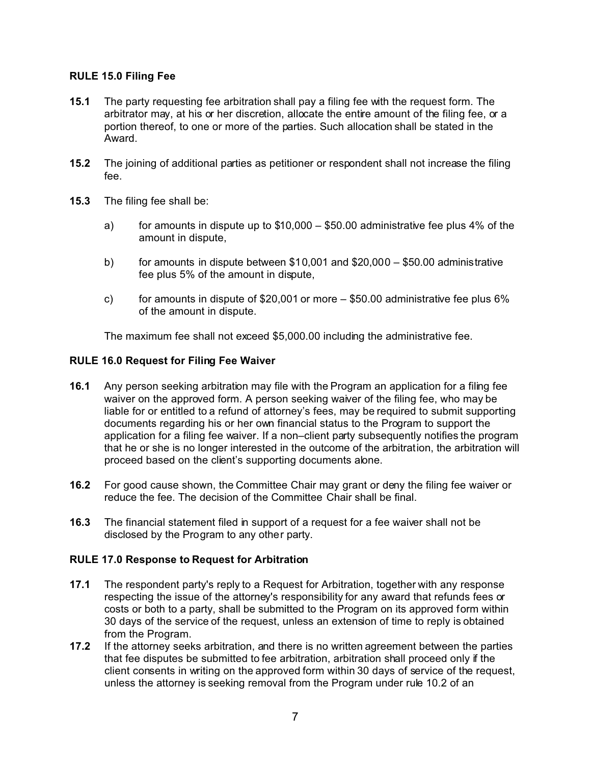# **RULE 15.0 Filing Fee**

- **15.1** The party requesting fee arbitration shall pay a filing fee with the request form. The arbitrator may, at his or her discretion, allocate the entire amount of the filing fee, or a portion thereof, to one or more of the parties. Such allocation shall be stated in the Award.
- **15.2** The joining of additional parties as petitioner or respondent shall not increase the filing fee.
- **15.3** The filing fee shall be:
	- a) for amounts in dispute up to  $$10,000 $50.00$  administrative fee plus 4% of the amount in dispute,
	- b) for amounts in dispute between \$10,001 and \$20,000 \$50.00 administrative fee plus 5% of the amount in dispute,
	- c) for amounts in dispute of  $$20,001$  or more  $-$  \$50.00 administrative fee plus 6% of the amount in dispute.

The maximum fee shall not exceed \$5,000.00 including the administrative fee.

## **RULE 16.0 Request for Filing Fee Waiver**

- **16.1** Any person seeking arbitration may file with the Program an application for a filing fee waiver on the approved form. A person seeking waiver of the filing fee, who may be liable for or entitled to a refund of attorney's fees, may be required to submit supporting documents regarding his or her own financial status to the Program to support the application for a filing fee waiver. If a non–client party subsequently notifies the program that he or she is no longer interested in the outcome of the arbitration, the arbitration will proceed based on the client's supporting documents alone.
- **16.2** For good cause shown, the Committee Chair may grant or deny the filing fee waiver or reduce the fee. The decision of the Committee Chair shall be final.
- **16.3** The financial statement filed in support of a request for a fee waiver shall not be disclosed by the Program to any other party.

#### **RULE 17.0 Response to Request for Arbitration**

- **17.1** The respondent party's reply to a Request for Arbitration, together with any response respecting the issue of the attorney's responsibility for any award that refunds fees or costs or both to a party, shall be submitted to the Program on its approved form within 30 days of the service of the request, unless an extension of time to reply is obtained from the Program.
- **17.2** If the attorney seeks arbitration, and there is no written agreement between the parties that fee disputes be submitted to fee arbitration, arbitration shall proceed only if the client consents in writing on the approved form within 30 days of service of the request, unless the attorney is seeking removal from the Program under rule 10.2 of an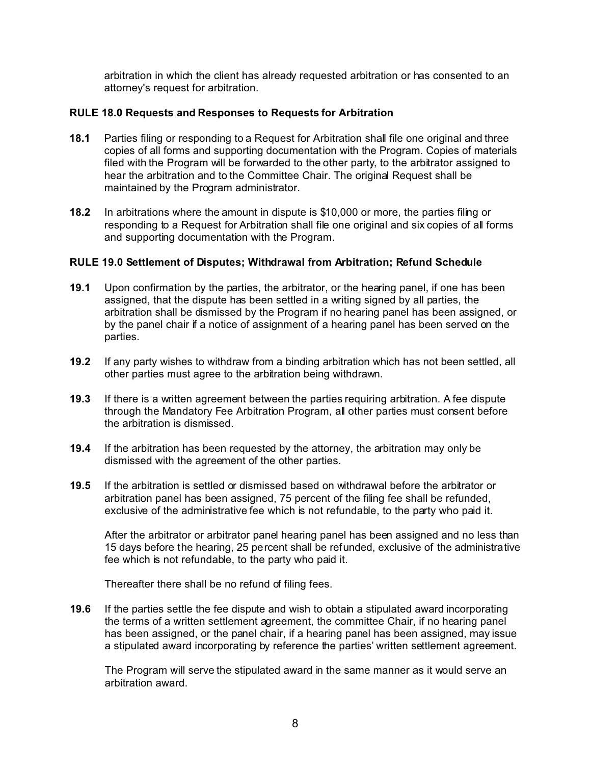arbitration in which the client has already requested arbitration or has consented to an attorney's request for arbitration.

## **RULE 18.0 Requests and Responses to Requests for Arbitration**

- **18.1** Parties filing or responding to a Request for Arbitration shall file one original and three copies of all forms and supporting documentation with the Program. Copies of materials filed with the Program will be forwarded to the other party, to the arbitrator assigned to hear the arbitration and to the Committee Chair. The original Request shall be maintained by the Program administrator.
- **18.2** In arbitrations where the amount in dispute is \$10,000 or more, the parties filing or responding to a Request for Arbitration shall file one original and six copies of all forms and supporting documentation with the Program.

## **RULE 19.0 Settlement of Disputes; Withdrawal from Arbitration; Refund Schedule**

- **19.1** Upon confirmation by the parties, the arbitrator, or the hearing panel, if one has been assigned, that the dispute has been settled in a writing signed by all parties, the arbitration shall be dismissed by the Program if no hearing panel has been assigned, or by the panel chair if a notice of assignment of a hearing panel has been served on the parties.
- **19.2** If any party wishes to withdraw from a binding arbitration which has not been settled, all other parties must agree to the arbitration being withdrawn.
- **19.3** If there is a written agreement between the parties requiring arbitration. A fee dispute through the Mandatory Fee Arbitration Program, all other parties must consent before the arbitration is dismissed.
- **19.4** If the arbitration has been requested by the attorney, the arbitration may only be dismissed with the agreement of the other parties.
- **19.5** If the arbitration is settled or dismissed based on withdrawal before the arbitrator or arbitration panel has been assigned, 75 percent of the filing fee shall be refunded, exclusive of the administrative fee which is not refundable, to the party who paid it.

After the arbitrator or arbitrator panel hearing panel has been assigned and no less than 15 days before the hearing, 25 percent shall be refunded, exclusive of the administrative fee which is not refundable, to the party who paid it.

Thereafter there shall be no refund of filing fees.

**19.6** If the parties settle the fee dispute and wish to obtain a stipulated award incorporating the terms of a written settlement agreement, the committee Chair, if no hearing panel has been assigned, or the panel chair, if a hearing panel has been assigned, may issue a stipulated award incorporating by reference the parties' written settlement agreement.

The Program will serve the stipulated award in the same manner as it would serve an arbitration award.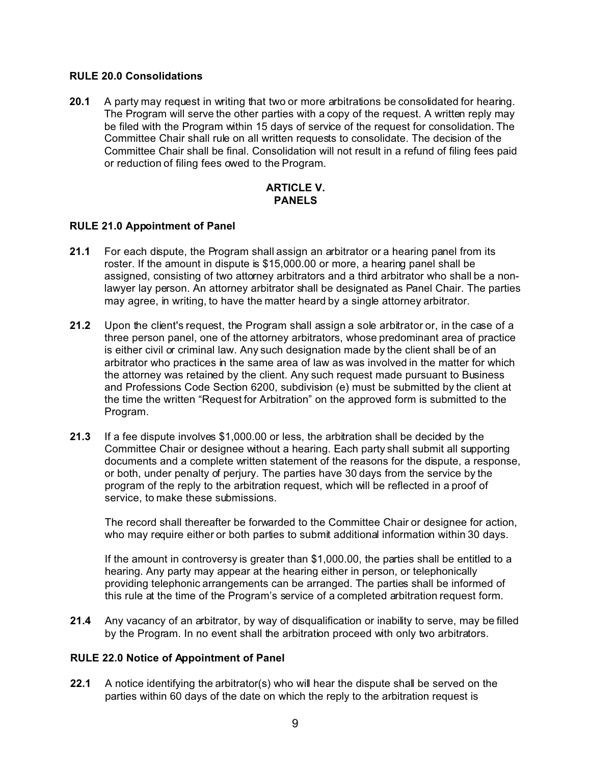### **RULE 20.0 Consolidations**

**20.1** A party may request in writing that two or more arbitrations be consolidated for hearing. The Program will serve the other parties with a copy of the request. A written reply may be filed with the Program within 15 days of service of the request for consolidation. The Committee Chair shall rule on all written requests to consolidate. The decision of the Committee Chair shall be final. Consolidation will not result in a refund of filing fees paid or reduction of filing fees owed to the Program.

## **ARTICLE V. PANELS**

# **RULE 21.0 Appointment of Panel**

- **21.1** For each dispute, the Program shall assign an arbitrator or a hearing panel from its roster. If the amount in dispute is \$15,000.00 or more, a hearing panel shall be assigned, consisting of two attorney arbitrators and a third arbitrator who shall be a nonlawyer lay person. An attorney arbitrator shall be designated as Panel Chair. The parties may agree, in writing, to have the matter heard by a single attorney arbitrator.
- **21.2** Upon the client's request, the Program shall assign a sole arbitrator or, in the case of a three person panel, one of the attorney arbitrators, whose predominant area of practice is either civil or criminal law. Any such designation made by the client shall be of an arbitrator who practices in the same area of law as was involved in the matter for which the attorney was retained by the client. Any such request made pursuant to Business and Professions Code Section 6200, subdivision (e) must be submitted by the client at the time the written "Request for Arbitration" on the approved form is submitted to the Program.
- **21.3** If a fee dispute involves \$1,000.00 or less, the arbitration shall be decided by the Committee Chair or designee without a hearing. Each party shall submit all supporting documents and a complete written statement of the reasons for the dispute, a response, or both, under penalty of perjury. The parties have 30 days from the service by the program of the reply to the arbitration request, which will be reflected in a proof of service, to make these submissions.

The record shall thereafter be forwarded to the Committee Chair or designee for action, who may require either or both parties to submit additional information within 30 days.

If the amount in controversy is greater than \$1,000.00, the parties shall be entitled to a hearing. Any party may appear at the hearing either in person, or telephonically providing telephonic arrangements can be arranged. The parties shall be informed of this rule at the time of the Program's service of a completed arbitration request form.

**21.4** Any vacancy of an arbitrator, by way of disqualification or inability to serve, may be filled by the Program. In no event shall the arbitration proceed with only two arbitrators.

# **RULE 22.0 Notice of Appointment of Panel**

**22.1** A notice identifying the arbitrator(s) who will hear the dispute shall be served on the parties within 60 days of the date on which the reply to the arbitration request is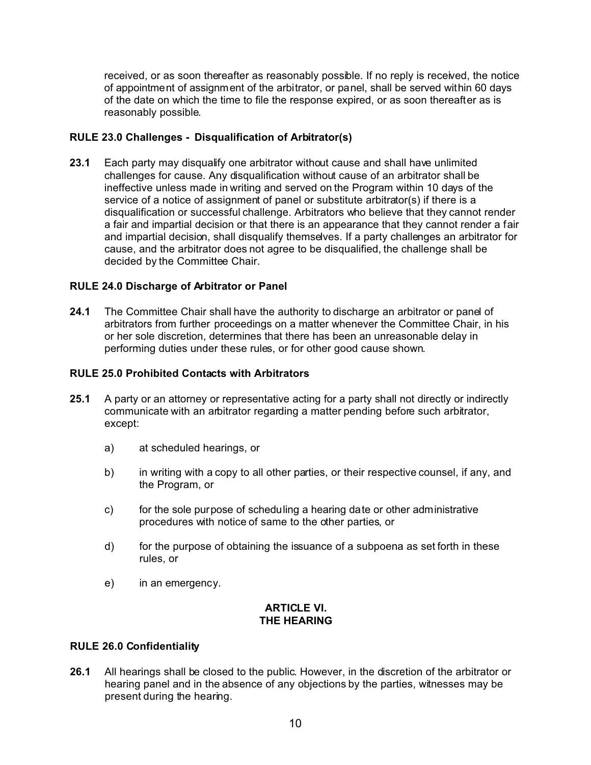received, or as soon thereafter as reasonably possible. If no reply is received, the notice of appointment of assignment of the arbitrator, or panel, shall be served within 60 days of the date on which the time to file the response expired, or as soon thereafter as is reasonably possible.

# **RULE 23.0 Challenges - Disqualification of Arbitrator(s)**

**23.1** Each party may disqualify one arbitrator without cause and shall have unlimited challenges for cause. Any disqualification without cause of an arbitrator shall be ineffective unless made in writing and served on the Program within 10 days of the service of a notice of assignment of panel or substitute arbitrator(s) if there is a disqualification or successful challenge. Arbitrators who believe that they cannot render a fair and impartial decision or that there is an appearance that they cannot render a fair and impartial decision, shall disqualify themselves. If a party challenges an arbitrator for cause, and the arbitrator does not agree to be disqualified, the challenge shall be decided by the Committee Chair.

# **RULE 24.0 Discharge of Arbitrator or Panel**

**24.1** The Committee Chair shall have the authority to discharge an arbitrator or panel of arbitrators from further proceedings on a matter whenever the Committee Chair, in his or her sole discretion, determines that there has been an unreasonable delay in performing duties under these rules, or for other good cause shown.

## **RULE 25.0 Prohibited Contacts with Arbitrators**

- **25.1** A party or an attorney or representative acting for a party shall not directly or indirectly communicate with an arbitrator regarding a matter pending before such arbitrator, except:
	- a) at scheduled hearings, or
	- b) in writing with a copy to all other parties, or their respective counsel, if any, and the Program, or
	- c) for the sole purpose of scheduling a hearing date or other administrative procedures with notice of same to the other parties, or
	- d) for the purpose of obtaining the issuance of a subpoena as set forth in these rules, or
	- e) in an emergency.

# **ARTICLE VI. THE HEARING**

#### **RULE 26.0 Confidentiality**

**26.1** All hearings shall be closed to the public. However, in the discretion of the arbitrator or hearing panel and in the absence of any objections by the parties, witnesses may be present during the hearing.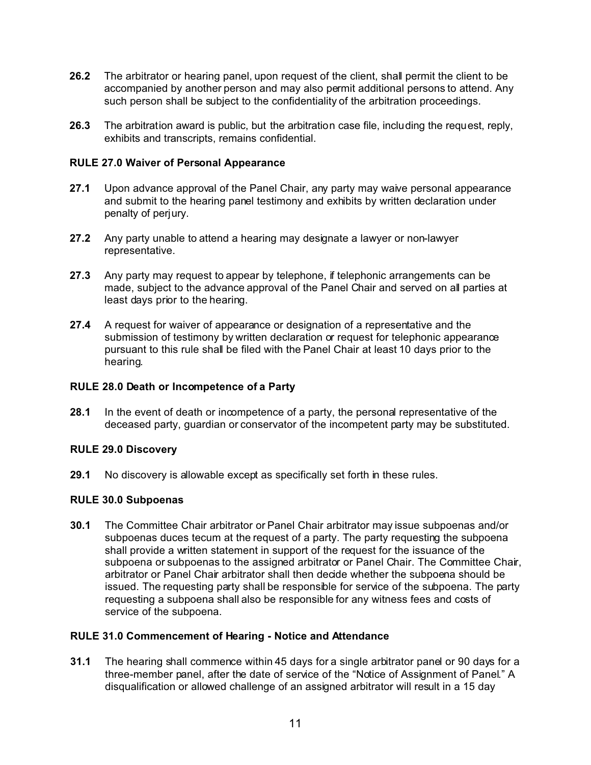- **26.2** The arbitrator or hearing panel, upon request of the client, shall permit the client to be accompanied by another person and may also permit additional persons to attend. Any such person shall be subject to the confidentiality of the arbitration proceedings.
- **26.3** The arbitration award is public, but the arbitration case file, including the request, reply, exhibits and transcripts, remains confidential.

## **RULE 27.0 Waiver of Personal Appearance**

- **27.1** Upon advance approval of the Panel Chair, any party may waive personal appearance and submit to the hearing panel testimony and exhibits by written declaration under penalty of perjury.
- **27.2** Any party unable to attend a hearing may designate a lawyer or non-lawyer representative.
- **27.3** Any party may request to appear by telephone, if telephonic arrangements can be made, subject to the advance approval of the Panel Chair and served on all parties at least days prior to the hearing.
- **27.4** A request for waiver of appearance or designation of a representative and the submission of testimony by written declaration or request for telephonic appearance pursuant to this rule shall be filed with the Panel Chair at least 10 days prior to the hearing.

## **RULE 28.0 Death or Incompetence of a Party**

**28.1** In the event of death or incompetence of a party, the personal representative of the deceased party, guardian or conservator of the incompetent party may be substituted.

# **RULE 29.0 Discovery**

**29.1** No discovery is allowable except as specifically set forth in these rules.

# **RULE 30.0 Subpoenas**

**30.1** The Committee Chair arbitrator or Panel Chair arbitrator may issue subpoenas and/or subpoenas duces tecum at the request of a party. The party requesting the subpoena shall provide a written statement in support of the request for the issuance of the subpoena or subpoenas to the assigned arbitrator or Panel Chair. The Committee Chair, arbitrator or Panel Chair arbitrator shall then decide whether the subpoena should be issued. The requesting party shall be responsible for service of the subpoena. The party requesting a subpoena shall also be responsible for any witness fees and costs of service of the subpoena.

# **RULE 31.0 Commencement of Hearing - Notice and Attendance**

**31.1** The hearing shall commence within 45 days for a single arbitrator panel or 90 days for a three-member panel, after the date of service of the "Notice of Assignment of Panel." A disqualification or allowed challenge of an assigned arbitrator will result in a 15 day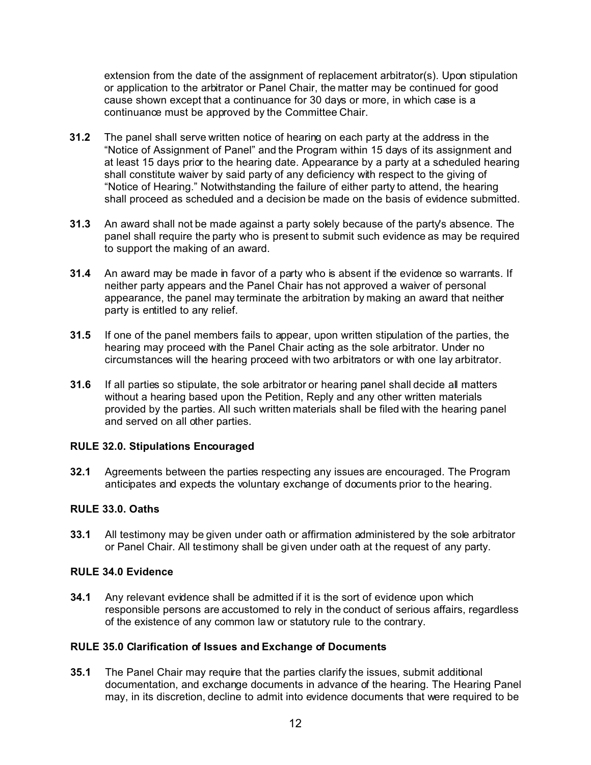extension from the date of the assignment of replacement arbitrator(s). Upon stipulation or application to the arbitrator or Panel Chair, the matter may be continued for good cause shown except that a continuance for 30 days or more, in which case is a continuance must be approved by the Committee Chair.

- **31.2** The panel shall serve written notice of hearing on each party at the address in the "Notice of Assignment of Panel" and the Program within 15 days of its assignment and at least 15 days prior to the hearing date. Appearance by a party at a scheduled hearing shall constitute waiver by said party of any deficiency with respect to the giving of "Notice of Hearing." Notwithstanding the failure of either party to attend, the hearing shall proceed as scheduled and a decision be made on the basis of evidence submitted.
- **31.3** An award shall not be made against a party solely because of the party's absence. The panel shall require the party who is present to submit such evidence as may be required to support the making of an award.
- **31.4** An award may be made in favor of a party who is absent if the evidence so warrants. If neither party appears and the Panel Chair has not approved a waiver of personal appearance, the panel may terminate the arbitration by making an award that neither party is entitled to any relief.
- **31.5** If one of the panel members fails to appear, upon written stipulation of the parties, the hearing may proceed with the Panel Chair acting as the sole arbitrator. Under no circumstances will the hearing proceed with two arbitrators or with one lay arbitrator.
- **31.6** If all parties so stipulate, the sole arbitrator or hearing panel shall decide all matters without a hearing based upon the Petition, Reply and any other written materials provided by the parties. All such written materials shall be filed with the hearing panel and served on all other parties.

# **RULE 32.0. Stipulations Encouraged**

**32.1** Agreements between the parties respecting any issues are encouraged. The Program anticipates and expects the voluntary exchange of documents prior to the hearing.

# **RULE 33.0. Oaths**

**33.1** All testimony may be given under oath or affirmation administered by the sole arbitrator or Panel Chair. All testimony shall be given under oath at the request of any party.

# **RULE 34.0 Evidence**

**34.1** Any relevant evidence shall be admitted if it is the sort of evidence upon which responsible persons are accustomed to rely in the conduct of serious affairs, regardless of the existence of any common law or statutory rule to the contrary.

#### **RULE 35.0 Clarification of Issues and Exchange of Documents**

**35.1** The Panel Chair may require that the parties clarify the issues, submit additional documentation, and exchange documents in advance of the hearing. The Hearing Panel may, in its discretion, decline to admit into evidence documents that were required to be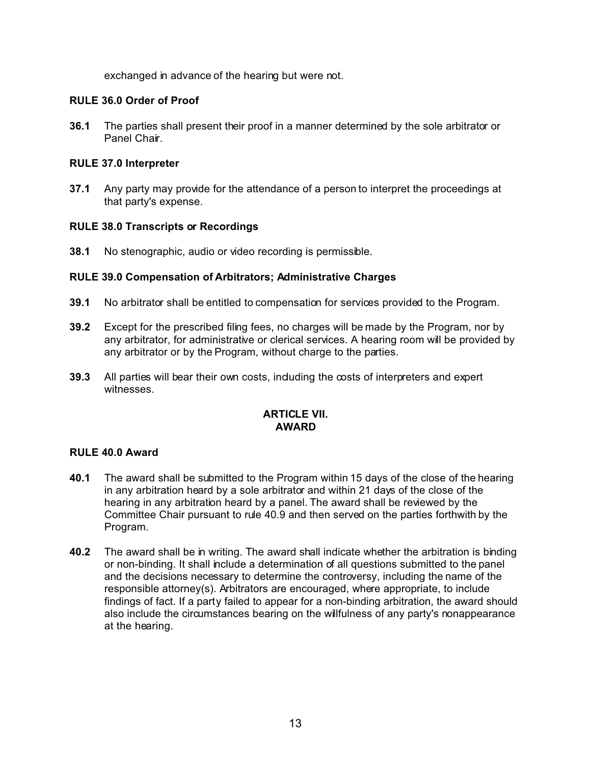exchanged in advance of the hearing but were not.

# **RULE 36.0 Order of Proof**

**36.1** The parties shall present their proof in a manner determined by the sole arbitrator or Panel Chair.

# **RULE 37.0 Interpreter**

**37.1** Any party may provide for the attendance of a person to interpret the proceedings at that party's expense.

# **RULE 38.0 Transcripts or Recordings**

**38.1** No stenographic, audio or video recording is permissible.

# **RULE 39.0 Compensation of Arbitrators; Administrative Charges**

- **39.1** No arbitrator shall be entitled to compensation for services provided to the Program.
- **39.2** Except for the prescribed filing fees, no charges will be made by the Program, nor by any arbitrator, for administrative or clerical services. A hearing room will be provided by any arbitrator or by the Program, without charge to the parties.
- **39.3** All parties will bear their own costs, induding the costs of interpreters and expert witnesses.

# **ARTICLE VII. AWARD**

# **RULE 40.0 Award**

- **40.1** The award shall be submitted to the Program within 15 days of the close of the hearing in any arbitration heard by a sole arbitrator and within 21 days of the close of the hearing in any arbitration heard by a panel. The award shall be reviewed by the Committee Chair pursuant to rule 40.9 and then served on the parties forthwith by the Program.
- **40.2** The award shall be in writing. The award shall indicate whether the arbitration is binding or non-binding. It shall include a determination of all questions submitted to the panel and the decisions necessary to determine the controversy, including the name of the responsible attorney(s). Arbitrators are encouraged, where appropriate, to include findings of fact. If a party failed to appear for a non-binding arbitration, the award should also include the circumstances bearing on the willfulness of any party's nonappearance at the hearing.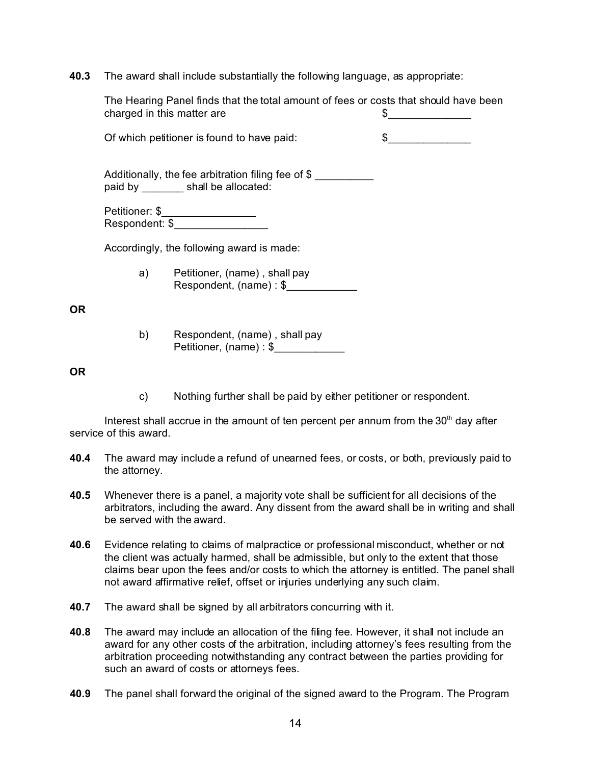**40.3** The award shall include substantially the following language, as appropriate:

| The Hearing Panel finds that the total amount of fees or costs that should have been<br>charged in this matter are |                                                            | S.<br><u> 1990 - Johann Barbara, martin a</u> |
|--------------------------------------------------------------------------------------------------------------------|------------------------------------------------------------|-----------------------------------------------|
| Of which petitioner is found to have paid:                                                                         |                                                            | $\frac{1}{2}$                                 |
| Additionally, the fee arbitration filing fee of \$<br>paid by shall be allocated:                                  |                                                            |                                               |
|                                                                                                                    |                                                            |                                               |
| Accordingly, the following award is made:                                                                          |                                                            |                                               |
|                                                                                                                    | a) Petitioner, (name), shall pay<br>Respondent, (name): \$ |                                               |
| b)                                                                                                                 | Respondent, (name), shall pay                              |                                               |

#### **OR**

**OR**

c) Nothing further shall be paid by either petitioner or respondent.

Interest shall accrue in the amount of ten percent per annum from the  $30<sup>th</sup>$  day after service of this award.

Petitioner, (name) : \$

- **40.4** The award may include a refund of unearned fees, or costs, or both, previously paid to the attorney.
- **40.5** Whenever there is a panel, a majority vote shall be sufficient for all decisions of the arbitrators, including the award. Any dissent from the award shall be in writing and shall be served with the award.
- **40.6** Evidence relating to claims of malpractice or professional misconduct, whether or not the client was actually harmed, shall be admissible, but only to the extent that those claims bear upon the fees and/or costs to which the attorney is entitled. The panel shall not award affirmative relief, offset or injuries underlying any such claim.
- **40.7** The award shall be signed by all arbitrators concurring with it.
- **40.8** The award may include an allocation of the filing fee. However, it shall not include an award for any other costs of the arbitration, including attorney's fees resulting from the arbitration proceeding notwithstanding any contract between the parties providing for such an award of costs or attorneys fees.
- **40.9** The panel shall forward the original of the signed award to the Program. The Program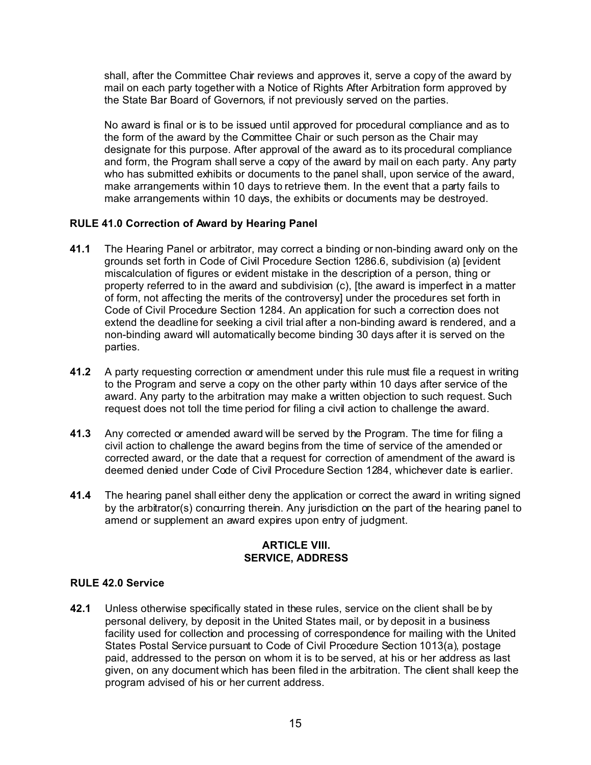shall, after the Committee Chair reviews and approves it, serve a copy of the award by mail on each party together with a Notice of Rights After Arbitration form approved by the State Bar Board of Governors, if not previously served on the parties.

No award is final or is to be issued until approved for procedural compliance and as to the form of the award by the Committee Chair or such person as the Chair may designate for this purpose. After approval of the award as to its procedural compliance and form, the Program shall serve a copy of the award by mail on each party. Any party who has submitted exhibits or documents to the panel shall, upon service of the award, make arrangements within 10 days to retrieve them. In the event that a party fails to make arrangements within 10 days, the exhibits or documents may be destroyed.

# **RULE 41.0 Correction of Award by Hearing Panel**

- **41.1** The Hearing Panel or arbitrator, may correct a binding or non-binding award only on the grounds set forth in Code of Civil Procedure Section 1286.6, subdivision (a) [evident miscalculation of figures or evident mistake in the description of a person, thing or property referred to in the award and subdivision (c), [the award is imperfect in a matter of form, not affecting the merits of the controversy] under the procedures set forth in Code of Civil Procedure Section 1284. An application for such a correction does not extend the deadline for seeking a civil trial after a non-binding award is rendered, and a non-binding award will automatically become binding 30 days after it is served on the parties.
- **41.2** A party requesting correction or amendment under this rule must file a request in writing to the Program and serve a copy on the other party within 10 days after service of the award. Any party to the arbitration may make a written objection to such request. Such request does not toll the time period for filing a civil action to challenge the award.
- **41.3** Any corrected or amended award will be served by the Program. The time for filing a civil action to challenge the award begins from the time of service of the amended or corrected award, or the date that a request for correction of amendment of the award is deemed denied under Code of Civil Procedure Section 1284, whichever date is earlier.
- **41.4** The hearing panel shall either deny the application or correct the award in writing signed by the arbitrator(s) concurring therein. Any jurisdiction on the part of the hearing panel to amend or supplement an award expires upon entry of judgment.

# **ARTICLE VIII. SERVICE, ADDRESS**

# **RULE 42.0 Service**

**42.1** Unless otherwise specifically stated in these rules, service on the client shall be by personal delivery, by deposit in the United States mail, or by deposit in a business facility used for collection and processing of correspondence for mailing with the United States Postal Service pursuant to Code of Civil Procedure Section 1013(a), postage paid, addressed to the person on whom it is to be served, at his or her address as last given, on any document which has been filed in the arbitration. The client shall keep the program advised of his or her current address.